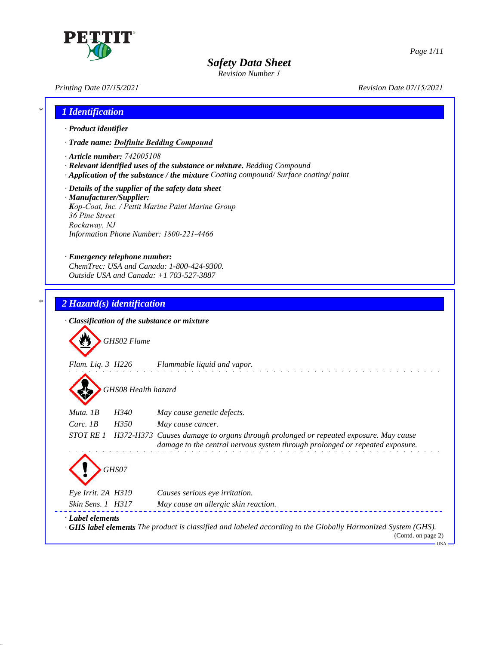

# *Safety Data Sheet*

*Revision Number 4*

*Printing Date 07/15/2021 Revision Date 07/15/2021*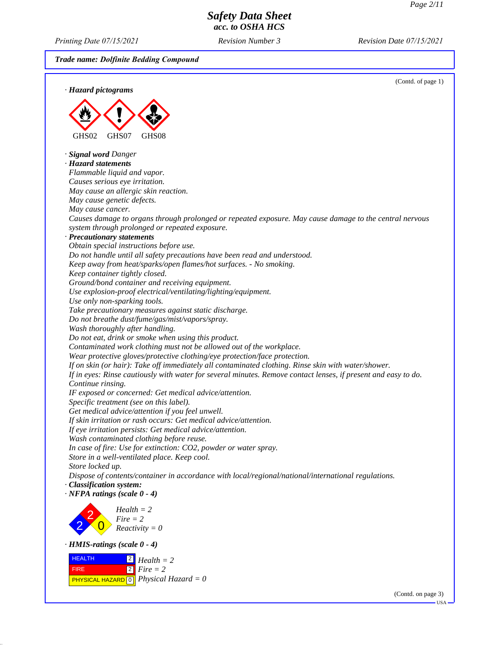*Printing Date 07/15/2021 Revision Date 07/15/2021*

*Revision Number 4*

*Trade name: Dolfinite Bedding Compound*

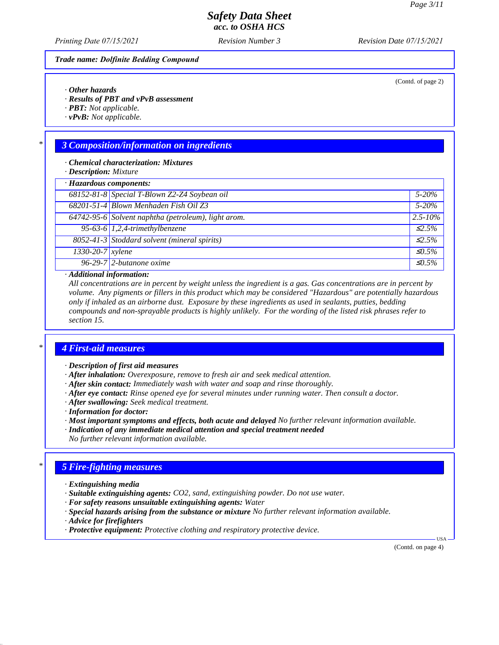(Contd. of page 2)

### *Safety Data Sheet acc. to OSHA HCS*

*Revision Number 4*

*Printing Date 07/15/2021 Revision Date 07/15/2021*

#### *Trade name: Dolfinite Bedding Compound*

*· Other hazards*

*· Results of PBT and vPvB assessment*

*· PBT: Not applicable.*

*· vPvB: Not applicable.*

### *\* 3 Composition/information on ingredients*

*· Chemical characterization: Mixtures*

*· Description: Mixture*

|                  | · Hazardous components:                             |                        |  |
|------------------|-----------------------------------------------------|------------------------|--|
|                  | 68152-81-8 Special T-Blown Z2-Z4 Soybean oil        | $5 - 20\%$             |  |
|                  | 68201-51-4 Blown Menhaden Fish Oil Z3               | $5 - 20\%$             |  |
|                  | 64742-95-6 Solvent naphtha (petroleum), light arom. | $2.5 - 10\%$           |  |
|                  | 95-63-6 $1,2,4$ -trimethylbenzene                   | $\mathcal{L}$ .5%      |  |
|                  | 8052-41-3 Stoddard solvent (mineral spirits)        | $\leq 2.5\%$           |  |
| 1330-20-7 xylene |                                                     | $\triangleleft$ 0.5%   |  |
|                  | $\sqrt{96-29-7}$ 2-butanone oxime                   | $\trianglelefteq$ 0.5% |  |
|                  |                                                     |                        |  |

#### *· Additional information:*

*All concentrations are in percent by weight unless the ingredient is a gas. Gas concentrations are in percent by volume. Any pigments or fillers in this product which may be considered "Hazardous" are potentially hazardous only if inhaled as an airborne dust. Exposure by these ingredients as used in sealants, putties, bedding compounds and non-sprayable products is highly unlikely. For the wording of the listed risk phrases refer to section 15.*

### *\* 4 First-aid measures*

*· Description of first aid measures*

*· After inhalation: Overexposure, remove to fresh air and seek medical attention.*

- *· After skin contact: Immediately wash with water and soap and rinse thoroughly.*
- *· After eye contact: Rinse opened eye for several minutes under running water. Then consult a doctor.*
- *· After swallowing: Seek medical treatment.*
- *· Information for doctor:*
- *· Most important symptoms and effects, both acute and delayed No further relevant information available. · Indication of any immediate medical attention and special treatment needed No further relevant information available.*

#### *\* 5 Fire-fighting measures*

- *· Extinguishing media*
- *· Suitable extinguishing agents: CO2, sand, extinguishing powder. Do not use water.*
- *· For safety reasons unsuitable extinguishing agents: Water*
- *· Special hazards arising from the substance or mixture No further relevant information available.*
- *· Advice for firefighters*
- *· Protective equipment: Protective clothing and respiratory protective device.*

(Contd. on page 4)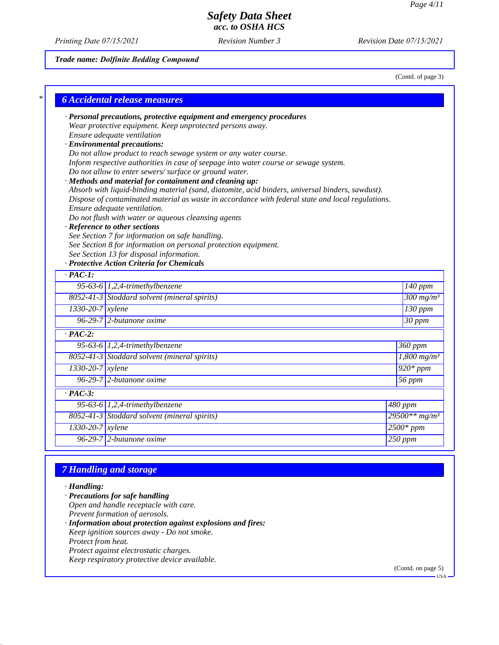*Printing Date 07/15/2021 Revision Date 07/15/2021*

*Revision Number 4*

### *Trade name: Dolfinite Bedding Compound*

(Contd. of page 3)

|                      | · Personal precautions, protective equipment and emergency procedures                                                                                       |                              |
|----------------------|-------------------------------------------------------------------------------------------------------------------------------------------------------------|------------------------------|
|                      | Wear protective equipment. Keep unprotected persons away.                                                                                                   |                              |
|                      | Ensure adequate ventilation                                                                                                                                 |                              |
|                      | · Environmental precautions:                                                                                                                                |                              |
|                      | Do not allow product to reach sewage system or any water course.                                                                                            |                              |
|                      | Inform respective authorities in case of seepage into water course or sewage system.                                                                        |                              |
|                      | Do not allow to enter sewers/surface or ground water.                                                                                                       |                              |
|                      | · Methods and material for containment and cleaning up:<br>Absorb with liquid-binding material (sand, diatomite, acid binders, universal binders, sawdust). |                              |
|                      | Dispose of contaminated material as waste in accordance with federal state and local regulations.                                                           |                              |
|                      | Ensure adequate ventilation.                                                                                                                                |                              |
|                      | Do not flush with water or aqueous cleansing agents                                                                                                         |                              |
|                      | · Reference to other sections                                                                                                                               |                              |
|                      | See Section 7 for information on safe handling.                                                                                                             |                              |
|                      | See Section 8 for information on personal protection equipment.                                                                                             |                              |
|                      | See Section 13 for disposal information.<br>· Protective Action Criteria for Chemicals                                                                      |                              |
| $\cdot$ PAC-1:       |                                                                                                                                                             |                              |
|                      |                                                                                                                                                             |                              |
|                      | 95-63-6 $1,2,4$ -trimethylbenzene                                                                                                                           | $\overline{140}$ ppm         |
|                      | 8052-41-3 Stoddard solvent (mineral spirits)                                                                                                                | $\frac{300 \text{ mg}}{m^3}$ |
| $1330-20-7$ xylene   |                                                                                                                                                             | $130$ ppm                    |
|                      | $96-29-7$ 2-butanone oxime                                                                                                                                  | $\overline{30 \, ppm}$       |
| $\cdot$ PAC-2:       |                                                                                                                                                             |                              |
|                      | 95-63-6 $1,2,4$ -trimethylbenzene                                                                                                                           | 360 ppm                      |
|                      | 8052-41-3 Stoddard solvent (mineral spirits)                                                                                                                | $1,800$ mg/m <sup>3</sup>    |
| $1330-20-7$ xylene   |                                                                                                                                                             | $920*ppm$                    |
|                      | $96-29-7$ 2-butanone oxime                                                                                                                                  | 56 ppm                       |
| $\overline{PAC-3}$ : |                                                                                                                                                             |                              |
|                      | 95-63-6 $1,2,4$ -trimethylbenzene                                                                                                                           | 480 ppm                      |
|                      | 8052-41-3 Stoddard solvent (mineral spirits)                                                                                                                | $29500**mg/m^3$              |
| 1330-20-7 xylene     |                                                                                                                                                             | $2500*ppm$                   |
|                      | $96-29-7$ 2-butanone oxime                                                                                                                                  | $250$ ppm                    |

## *7 Handling and storage*

#### *· Handling: · Precautions for safe handling Open and handle receptacle with care. Prevent formation of aerosols. · Information about protection against explosions and fires: Keep ignition sources away - Do not smoke. Protect from heat. Protect against electrostatic charges. Keep respiratory protective device available.*

(Contd. on page 5)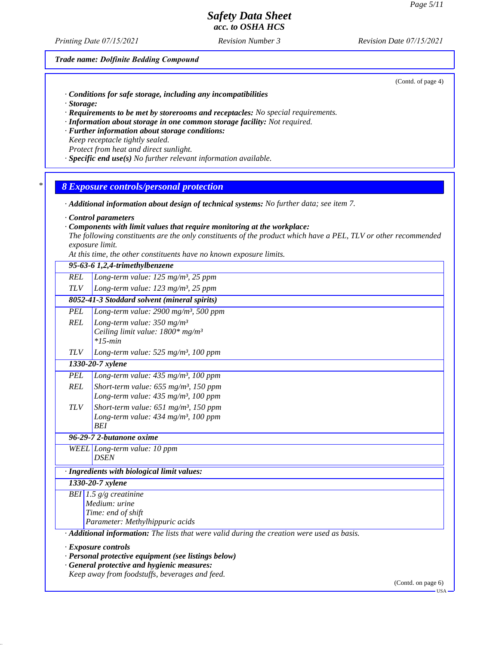*Printing Date 07/15/2021 Revision Date 07/15/2021*

*Revision Number 4*

#### *Trade name: Dolfinite Bedding Compound*

(Contd. of page 4)

- *· Conditions for safe storage, including any incompatibilities*
- *· Storage:*
- *· Requirements to be met by storerooms and receptacles: No special requirements.*
- *· Information about storage in one common storage facility: Not required.*
- *· Further information about storage conditions:*
- *Keep receptacle tightly sealed. Protect from heat and direct sunlight.*
- *· Specific end use(s) No further relevant information available.*

#### *\* 8 Exposure controls/personal protection*

- *· Additional information about design of technical systems: No further data; see item 7.*
- *· Control parameters*
- *· Components with limit values that require monitoring at the workplace:*
- *The following constituents are the only constituents of the product which have a PEL, TLV or other recommended exposure limit.*
- *At this time, the other constituents have no known exposure limits.*

| 95-63-6 1,2,4-trimethylbenzene                                                                                                                                               |                                                                                                                       |  |  |
|------------------------------------------------------------------------------------------------------------------------------------------------------------------------------|-----------------------------------------------------------------------------------------------------------------------|--|--|
| <b>REL</b>                                                                                                                                                                   | Long-term value: 125 mg/m <sup>3</sup> , 25 ppm                                                                       |  |  |
| <b>TLV</b>                                                                                                                                                                   | Long-term value: 123 mg/m <sup>3</sup> , 25 ppm                                                                       |  |  |
|                                                                                                                                                                              | 8052-41-3 Stoddard solvent (mineral spirits)                                                                          |  |  |
| <b>PEL</b>                                                                                                                                                                   | Long-term value: $2900$ mg/m <sup>3</sup> , 500 ppm                                                                   |  |  |
| <b>REL</b>                                                                                                                                                                   | Long-term value: $350$ mg/m <sup>3</sup><br>Ceiling limit value: $1800*$ mg/m <sup>3</sup><br>$*15$ -min              |  |  |
| <b>TLV</b>                                                                                                                                                                   | Long-term value: $525$ mg/m <sup>3</sup> , 100 ppm                                                                    |  |  |
|                                                                                                                                                                              | 1330-20-7 xylene                                                                                                      |  |  |
| <b>PEL</b>                                                                                                                                                                   | Long-term value: $435$ mg/m <sup>3</sup> , 100 ppm                                                                    |  |  |
| <b>REL</b>                                                                                                                                                                   | Short-term value: $655$ mg/m <sup>3</sup> , 150 ppm<br>Long-term value: 435 mg/m <sup>3</sup> , 100 ppm               |  |  |
| <b>TLV</b>                                                                                                                                                                   | Short-term value: $651$ mg/m <sup>3</sup> , 150 ppm<br>Long-term value: 434 mg/m <sup>3</sup> , 100 ppm<br><b>BEI</b> |  |  |
| 96-29-7 2-butanone oxime                                                                                                                                                     |                                                                                                                       |  |  |
|                                                                                                                                                                              | WEEL Long-term value: 10 ppm<br><b>DSEN</b>                                                                           |  |  |
| · Ingredients with biological limit values:                                                                                                                                  |                                                                                                                       |  |  |
| 1330-20-7 xylene                                                                                                                                                             |                                                                                                                       |  |  |
|                                                                                                                                                                              | BEI 1.5 $g/g$ creatinine<br>Medium: urine<br>Time: end of shift<br>Parameter: Methylhippuric acids                    |  |  |
| · Additional information: The lists that were valid during the creation were used as basis.                                                                                  |                                                                                                                       |  |  |
| · Exposure controls<br>· Personal protective equipment (see listings below)<br>· General protective and hygienic measures:<br>Keep away from foodstuffs, beverages and feed. |                                                                                                                       |  |  |

(Contd. on page 6)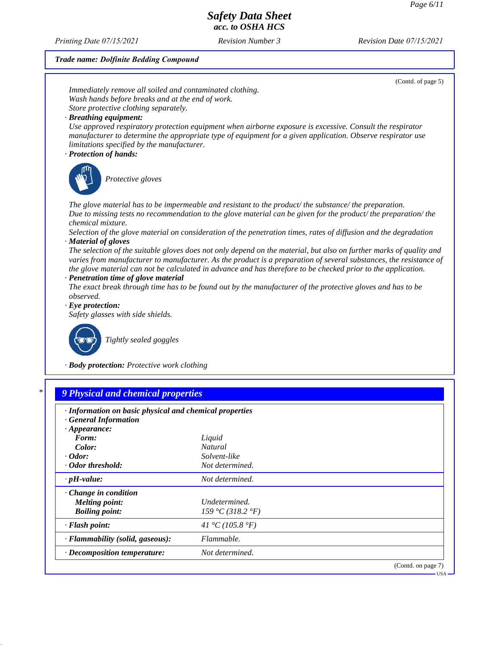*Printing Date 07/15/2021 Revision Date 07/15/2021*

*Revision Number 4*

# *Trade name: Dolfinite Bedding Compound*

| Immediately remove all soiled and contaminated clothing.              |                                                                                                                                                                                                                                           |
|-----------------------------------------------------------------------|-------------------------------------------------------------------------------------------------------------------------------------------------------------------------------------------------------------------------------------------|
|                                                                       |                                                                                                                                                                                                                                           |
| Wash hands before breaks and at the end of work.                      |                                                                                                                                                                                                                                           |
| Store protective clothing separately.                                 |                                                                                                                                                                                                                                           |
| · Breathing equipment:                                                |                                                                                                                                                                                                                                           |
| limitations specified by the manufacturer.                            | Use approved respiratory protection equipment when airborne exposure is excessive. Consult the respirator<br>manufacturer to determine the appropriate type of equipment for a given application. Observe respirator use                  |
| · Protection of hands:                                                |                                                                                                                                                                                                                                           |
| Protective gloves                                                     |                                                                                                                                                                                                                                           |
|                                                                       | The glove material has to be impermeable and resistant to the product/the substance/the preparation.                                                                                                                                      |
| chemical mixture.                                                     | Due to missing tests no recommendation to the glove material can be given for the product/the preparation/the                                                                                                                             |
| · Material of gloves                                                  | Selection of the glove material on consideration of the penetration times, rates of diffusion and the degradation                                                                                                                         |
|                                                                       | The selection of the suitable gloves does not only depend on the material, but also on further marks of quality and<br>varies from manufacturer to manufacturer. As the product is a preparation of several substances, the resistance of |
|                                                                       | the glove material can not be calculated in advance and has therefore to be checked prior to the application.                                                                                                                             |
| · Penetration time of glove material                                  |                                                                                                                                                                                                                                           |
|                                                                       | The exact break through time has to be found out by the manufacturer of the protective gloves and has to be                                                                                                                               |
| observed.                                                             |                                                                                                                                                                                                                                           |
| $\cdot$ Eye protection:                                               |                                                                                                                                                                                                                                           |
| Safety glasses with side shields.                                     |                                                                                                                                                                                                                                           |
|                                                                       |                                                                                                                                                                                                                                           |
| Tightly sealed goggles<br>· Body protection: Protective work clothing |                                                                                                                                                                                                                                           |
|                                                                       |                                                                                                                                                                                                                                           |
| 9 Physical and chemical properties                                    |                                                                                                                                                                                                                                           |
| · Information on basic physical and chemical properties               |                                                                                                                                                                                                                                           |
| · General Information                                                 |                                                                                                                                                                                                                                           |
| $\cdot$ Appearance:                                                   |                                                                                                                                                                                                                                           |
| Form:                                                                 | Liquid                                                                                                                                                                                                                                    |
| Color:                                                                | Natural                                                                                                                                                                                                                                   |
| $\cdot$ Odor:                                                         | Solvent-like                                                                                                                                                                                                                              |
| · Odor threshold:                                                     | Not determined.                                                                                                                                                                                                                           |
| $\cdot$ pH-value:                                                     | Not determined.                                                                                                                                                                                                                           |
|                                                                       |                                                                                                                                                                                                                                           |
| Change in condition                                                   |                                                                                                                                                                                                                                           |
| <b>Melting point:</b>                                                 | Undetermined.                                                                                                                                                                                                                             |
| <b>Boiling point:</b>                                                 | 159 °C (318.2 °F)                                                                                                                                                                                                                         |
| · Flash point:                                                        | 41 °C (105.8 °F)                                                                                                                                                                                                                          |
| · Flammability (solid, gaseous):                                      | Flammable.                                                                                                                                                                                                                                |
| · Decomposition temperature:                                          | Not determined.                                                                                                                                                                                                                           |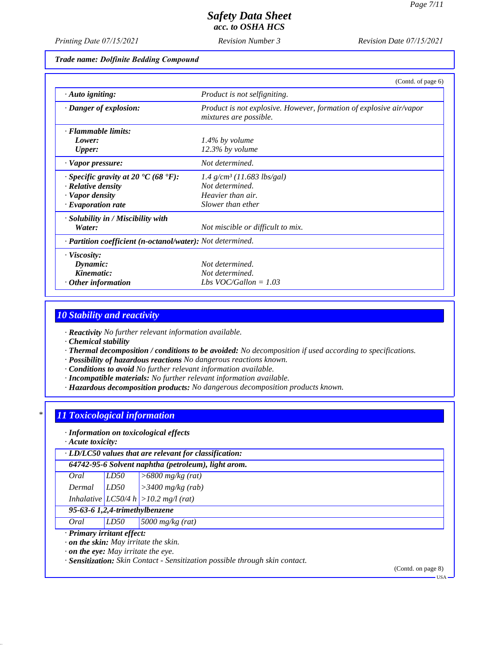*Printing Date 07/15/2021 Revision Date 07/15/2021*

*Revision Number 4*

#### *Trade name: Dolfinite Bedding Compound*

|                                                            | (Contd. of page $6$ )                                                                         |
|------------------------------------------------------------|-----------------------------------------------------------------------------------------------|
| $\cdot$ Auto igniting:                                     | Product is not selfigniting.                                                                  |
| · Danger of explosion:                                     | Product is not explosive. However, formation of explosive air/vapor<br>mixtures are possible. |
| · Flammable limits:                                        |                                                                                               |
| Lower:                                                     | $1.4\%$ by volume                                                                             |
| <b>Upper:</b>                                              | $12.3\%$ by volume                                                                            |
| · Vapor pressure:                                          | Not determined.                                                                               |
| $\cdot$ Specific gravity at 20 °C (68 °F):                 | $1.4$ g/cm <sup>3</sup> (11.683 lbs/gal)                                                      |
| $\cdot$ Relative density                                   | Not determined.                                                                               |
| · Vapor density                                            | Heavier than air.                                                                             |
| $\cdot$ Evaporation rate                                   | Slower than ether                                                                             |
| · Solubility in / Miscibility with                         |                                                                                               |
| Water:                                                     | Not miscible or difficult to mix.                                                             |
| · Partition coefficient (n-octanol/water): Not determined. |                                                                                               |
| · Viscosity:                                               |                                                                                               |
| Dynamic:                                                   | Not determined.                                                                               |
| Kinematic:                                                 | Not determined.                                                                               |
| $\cdot$ Other information                                  | Lbs VOC/Gallon = $1.03$                                                                       |

### *10 Stability and reactivity*

*· Reactivity No further relevant information available.*

*· Chemical stability*

*· Thermal decomposition / conditions to be avoided: No decomposition if used according to specifications.*

*· Possibility of hazardous reactions No dangerous reactions known.*

*· Conditions to avoid No further relevant information available.*

- *· Incompatible materials: No further relevant information available.*
- *· Hazardous decomposition products: No dangerous decomposition products known.*

#### *\* 11 Toxicological information*

*· Information on toxicological effects*

*· Acute toxicity:*

*· LD/LC50 values that are relevant for classification: 64742-95-6 Solvent naphtha (petroleum), light arom.*

| Oral        | LD50 | $\geq 6800$ mg/kg (rat)                   |
|-------------|------|-------------------------------------------|
| Dermal LD50 |      | $\vert$ > 3400 mg/kg (rab)                |
|             |      | Inhalative $ LCS0/4 h  > 10.2 mg/l$ (rat) |

*95-63-6 1,2,4-trimethylbenzene*

*Oral LD50 5000 mg/kg (rat)*

*· Primary irritant effect:*

*· on the skin: May irritate the skin.*

*· on the eye: May irritate the eye.*

*· Sensitization: Skin Contact - Sensitization possible through skin contact.*

(Contd. on page 8)

USA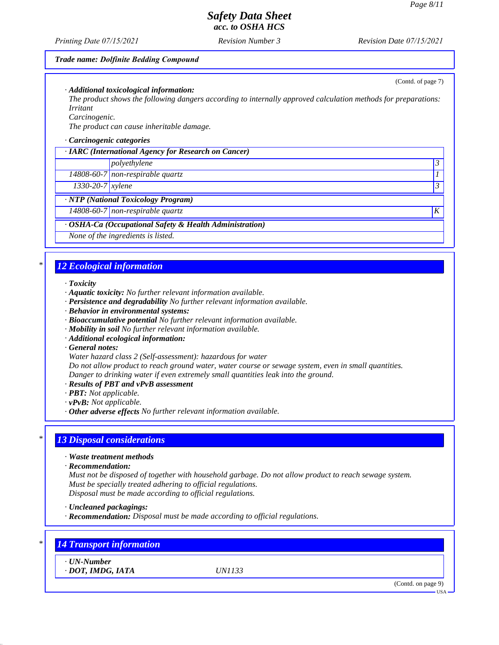(Contd. of page 7)

## *Safety Data Sheet acc. to OSHA HCS*

*Printing Date 07/15/2021 Revision Date 07/15/2021*

*Revision Number 4*

#### *Trade name: Dolfinite Bedding Compound*

*· Additional toxicological information:*

*The product shows the following dangers according to internally approved calculation methods for preparations: Irritant*

*Carcinogenic.*

*The product can cause inheritable damage.*

#### *· Carcinogenic categories*

| · IARC (International Agency for Research on Cancer) |                                                         |                  |
|------------------------------------------------------|---------------------------------------------------------|------------------|
|                                                      | polyethylene                                            |                  |
|                                                      | 14808-60-7 non-respirable quartz                        |                  |
| $1330 - 20 - 7$ <i>xylene</i>                        |                                                         |                  |
|                                                      | · NTP (National Toxicology Program)                     |                  |
|                                                      | $14808-60-7$ non-respirable quartz                      | $\boldsymbol{K}$ |
|                                                      | · OSHA-Ca (Occupational Safety & Health Administration) |                  |
|                                                      | None of the ingredients is listed.                      |                  |

### *\* 12 Ecological information*

#### *· Toxicity*

- *· Aquatic toxicity: No further relevant information available.*
- *· Persistence and degradability No further relevant information available.*
- *· Behavior in environmental systems:*
- *· Bioaccumulative potential No further relevant information available.*
- *· Mobility in soil No further relevant information available.*
- *· Additional ecological information:*
- *· General notes:*
- *Water hazard class 2 (Self-assessment): hazardous for water*

*Do not allow product to reach ground water, water course or sewage system, even in small quantities. Danger to drinking water if even extremely small quantities leak into the ground.*

- *· Results of PBT and vPvB assessment*
- *· PBT: Not applicable.*
- *· vPvB: Not applicable.*
- *· Other adverse effects No further relevant information available.*

### *\* 13 Disposal considerations*

- *· Waste treatment methods*
- *· Recommendation:*

*Must not be disposed of together with household garbage. Do not allow product to reach sewage system. Must be specially treated adhering to official regulations. Disposal must be made according to official regulations.*

- *· Uncleaned packagings:*
- *· Recommendation: Disposal must be made according to official regulations.*

| <b>14 Transport information</b>        |               |                    |
|----------------------------------------|---------------|--------------------|
| $\cdot$ UN-Number<br>· DOT, IMDG, IATA | <i>UN1133</i> |                    |
|                                        |               | (Contd. on page 9) |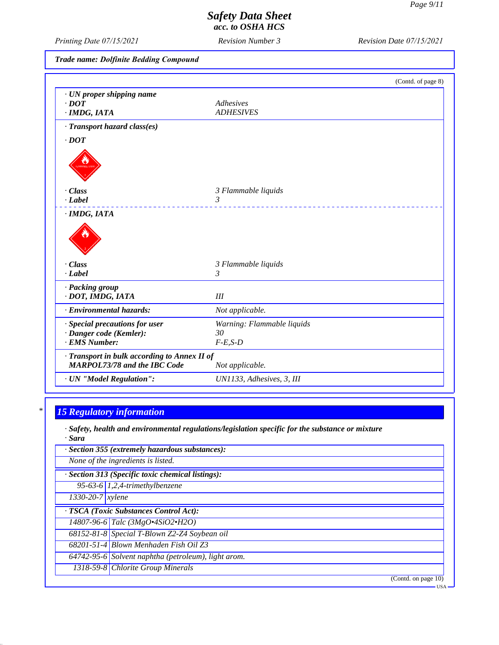*Printing Date 07/15/2021 Revision Date 07/15/2021*

*Revision Number 4*

*Trade name: Dolfinite Bedding Compound*

|                                              | (Contd. of page 8)         |
|----------------------------------------------|----------------------------|
| · UN proper shipping name                    |                            |
| $\cdot$ <i>DOT</i>                           | Adhesives                  |
| · IMDG, IATA                                 | <b>ADHESIVES</b>           |
| · Transport hazard class(es)                 |                            |
| $\cdot$ <i>DOT</i>                           |                            |
|                                              |                            |
| $\cdot Class$                                | 3 Flammable liquids        |
| $\cdot$ <i>Label</i>                         | 3                          |
|                                              |                            |
| $\cdot$ Class                                | 3 Flammable liquids        |
| $\cdot$ <i>Label</i>                         | 3                          |
| · Packing group                              |                            |
| · DOT, IMDG, IATA                            | III                        |
| · Environmental hazards:                     | Not applicable.            |
| · Special precautions for user               | Warning: Flammable liquids |
| · Danger code (Kemler):                      | 30                         |
| · EMS Number:                                | $F-E,S-D$                  |
| · Transport in bulk according to Annex II of |                            |
| <b>MARPOL73/78 and the IBC Code</b>          | Not applicable.            |
| · UN "Model Regulation":                     | UN1133, Adhesives, 3, III  |

# *\* 15 Regulatory information*

*· Safety, health and environmental regulations/legislation specific for the substance or mixture · Sara*

|                    | · Section 355 (extremely hazardous substances):     |
|--------------------|-----------------------------------------------------|
|                    | None of the ingredients is listed.                  |
|                    | · Section 313 (Specific toxic chemical listings):   |
|                    | 95-63-6 $1,2,4$ -trimethylbenzene                   |
| $1330-20-7$ xylene |                                                     |
|                    | · TSCA (Toxic Substances Control Act):              |
|                    | 14807-96-6 Talc (3MgO.4SiO2.H2O)                    |
|                    | 68152-81-8 Special T-Blown Z2-Z4 Soybean oil        |
|                    | 68201-51-4 Blown Menhaden Fish Oil Z3               |
|                    | 64742-95-6 Solvent naphtha (petroleum), light arom. |
|                    | 1318-59-8 Chlorite Group Minerals                   |
|                    | (Contd. on page $10$ )                              |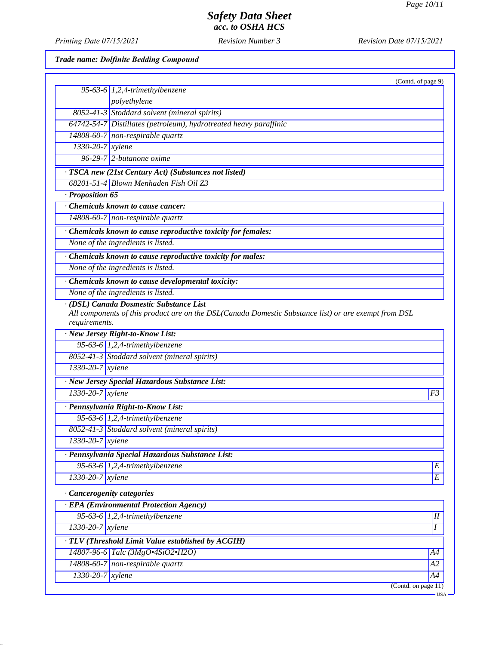USA

# *Safety Data Sheet acc. to OSHA HCS*

*Printing Date 07/15/2021 Revision Date 07/15/2021*

*Revision Number 4*

*Trade name: Dolfinite Bedding Compound*

|                               | (Contd. of page 9)                                                                                                                              |                    |
|-------------------------------|-------------------------------------------------------------------------------------------------------------------------------------------------|--------------------|
|                               | 95-63-6 $1,2,4$ -trimethylbenzene                                                                                                               |                    |
|                               | polyethylene                                                                                                                                    |                    |
|                               | 8052-41-3 Stoddard solvent (mineral spirits)                                                                                                    |                    |
|                               | 64742-54-7 Distillates (petroleum), hydrotreated heavy paraffinic                                                                               |                    |
|                               | 14808-60-7 non-respirable quartz                                                                                                                |                    |
| $1330 - 20 - 7$ <i>xylene</i> |                                                                                                                                                 |                    |
|                               | $96-29-7$ 2-butanone oxime                                                                                                                      |                    |
|                               | · TSCA new (21st Century Act) (Substances not listed)                                                                                           |                    |
|                               | 68201-51-4 Blown Menhaden Fish Oil Z3                                                                                                           |                    |
| $\cdot$ Proposition 65        |                                                                                                                                                 |                    |
|                               | <b>Chemicals known to cause cancer:</b>                                                                                                         |                    |
|                               | $14808-60-7$ non-respirable quartz                                                                                                              |                    |
|                               | · Chemicals known to cause reproductive toxicity for females:                                                                                   |                    |
|                               | None of the ingredients is listed.                                                                                                              |                    |
|                               | · Chemicals known to cause reproductive toxicity for males:                                                                                     |                    |
|                               | None of the ingredients is listed.                                                                                                              |                    |
|                               |                                                                                                                                                 |                    |
|                               | Chemicals known to cause developmental toxicity:                                                                                                |                    |
|                               | None of the ingredients is listed.                                                                                                              |                    |
| requirements.                 | · (DSL) Canada Dosmestic Substance List<br>All components of this product are on the DSL(Canada Domestic Substance list) or are exempt from DSL |                    |
|                               | · New Jersey Right-to-Know List:                                                                                                                |                    |
|                               | 95-63-6 $1,2,4$ -trimethylbenzene                                                                                                               |                    |
|                               | 8052-41-3 Stoddard solvent (mineral spirits)                                                                                                    |                    |
| 1330-20-7 xylene              |                                                                                                                                                 |                    |
|                               | · New Jersey Special Hazardous Substance List:                                                                                                  |                    |
| 1330-20-7 xylene              |                                                                                                                                                 | F3                 |
|                               | · Pennsylvania Right-to-Know List:                                                                                                              |                    |
|                               | 95-63-6 $1,2,4$ -trimethylbenzene                                                                                                               |                    |
|                               | 8052-41-3 Stoddard solvent (mineral spirits)                                                                                                    |                    |
| 1330-20-7 xylene              |                                                                                                                                                 |                    |
|                               |                                                                                                                                                 |                    |
|                               | · Pennsylvania Special Hazardous Substance List:<br>$95-63-6$ 1,2,4-trimethylbenzene                                                            |                    |
|                               |                                                                                                                                                 | $\overline{E}$     |
| $1330 - 20 - 7$ <i>xylene</i> |                                                                                                                                                 | $\cal E$           |
|                               | Cancerogenity categories                                                                                                                        |                    |
|                               | · EPA (Environmental Protection Agency)                                                                                                         |                    |
|                               | 95-63-6 $1,2,4$ -trimethylbenzene                                                                                                               | $I\hspace{-.1em}I$ |
| $1330 - 20 - 7$ xylene        |                                                                                                                                                 | I                  |
|                               | · TLV (Threshold Limit Value established by ACGIH)                                                                                              |                    |
|                               | 14807-96-6 Talc (3MgO.4SiO2.H2O)                                                                                                                | A4                 |
|                               | $14808-60-7$ non-respirable quartz                                                                                                              | A2                 |
| 1330-20-7 xylene              |                                                                                                                                                 | A4                 |
|                               | (Contd. on page 11)                                                                                                                             |                    |